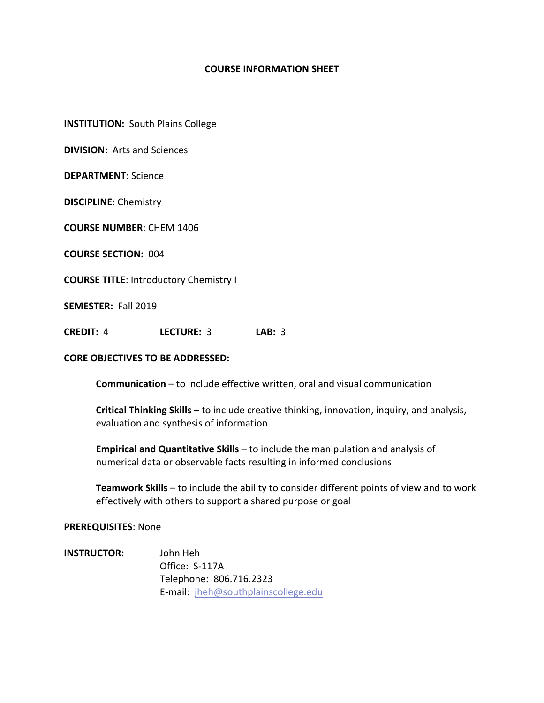#### **COURSE INFORMATION SHEET**

**INSTITUTION:** South Plains College

**DIVISION:** Arts and Sciences

**DEPARTMENT**: Science

**DISCIPLINE**: Chemistry

**COURSE NUMBER**: CHEM 1406

**COURSE SECTION:** 004

**COURSE TITLE**: Introductory Chemistry I

**SEMESTER:** Fall 2019

**CREDIT:** 4 **LECTURE:** 3 **LAB:** 3

### **CORE OBJECTIVES TO BE ADDRESSED:**

**Communication** – to include effective written, oral and visual communication

**Critical Thinking Skills** – to include creative thinking, innovation, inquiry, and analysis, evaluation and synthesis of information

**Empirical and Quantitative Skills** – to include the manipulation and analysis of numerical data or observable facts resulting in informed conclusions

**Teamwork Skills** – to include the ability to consider different points of view and to work effectively with others to support a shared purpose or goal

#### **PREREQUISITES**: None

**INSTRUCTOR:** John Heh Office: S-117A Telephone: 806.716.2323 E-mail: jheh@southplainscollege.edu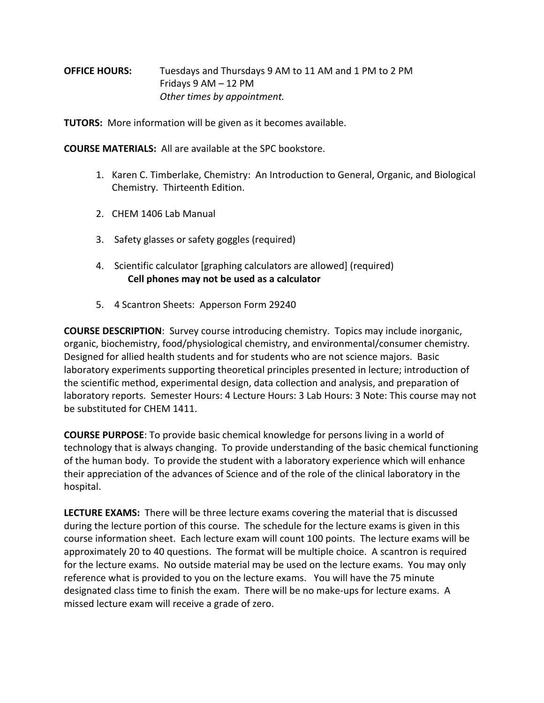# **OFFICE HOURS:** Tuesdays and Thursdays 9 AM to 11 AM and 1 PM to 2 PM Fridays 9 AM – 12 PM *Other times by appointment.*

**TUTORS:** More information will be given as it becomes available.

**COURSE MATERIALS:** All are available at the SPC bookstore.

- 1. Karen C. Timberlake, Chemistry: An Introduction to General, Organic, and Biological Chemistry. Thirteenth Edition.
- 2. CHEM 1406 Lab Manual
- 3. Safety glasses or safety goggles (required)
- 4. Scientific calculator [graphing calculators are allowed] (required) **Cell phones may not be used as a calculator**
- 5. 4 Scantron Sheets: Apperson Form 29240

**COURSE DESCRIPTION**: Survey course introducing chemistry. Topics may include inorganic, organic, biochemistry, food/physiological chemistry, and environmental/consumer chemistry. Designed for allied health students and for students who are not science majors. Basic laboratory experiments supporting theoretical principles presented in lecture; introduction of the scientific method, experimental design, data collection and analysis, and preparation of laboratory reports. Semester Hours: 4 Lecture Hours: 3 Lab Hours: 3 Note: This course may not be substituted for CHEM 1411.

**COURSE PURPOSE**: To provide basic chemical knowledge for persons living in a world of technology that is always changing. To provide understanding of the basic chemical functioning of the human body. To provide the student with a laboratory experience which will enhance their appreciation of the advances of Science and of the role of the clinical laboratory in the hospital.

**LECTURE EXAMS:** There will be three lecture exams covering the material that is discussed during the lecture portion of this course. The schedule for the lecture exams is given in this course information sheet. Each lecture exam will count 100 points. The lecture exams will be approximately 20 to 40 questions. The format will be multiple choice. A scantron is required for the lecture exams. No outside material may be used on the lecture exams. You may only reference what is provided to you on the lecture exams. You will have the 75 minute designated class time to finish the exam. There will be no make-ups for lecture exams. A missed lecture exam will receive a grade of zero.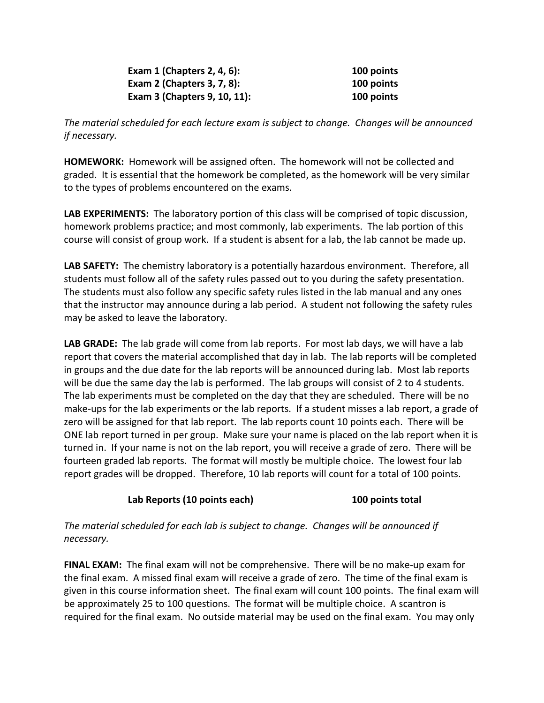| Exam 1 (Chapters $2, 4, 6$ ):     | 100 points |
|-----------------------------------|------------|
| <b>Exam 2 (Chapters 3, 7, 8):</b> | 100 points |
| Exam 3 (Chapters 9, 10, 11):      | 100 points |

*The material scheduled for each lecture exam is subject to change. Changes will be announced if necessary.*

**HOMEWORK:** Homework will be assigned often. The homework will not be collected and graded. It is essential that the homework be completed, as the homework will be very similar to the types of problems encountered on the exams.

**LAB EXPERIMENTS:** The laboratory portion of this class will be comprised of topic discussion, homework problems practice; and most commonly, lab experiments. The lab portion of this course will consist of group work. If a student is absent for a lab, the lab cannot be made up.

**LAB SAFETY:** The chemistry laboratory is a potentially hazardous environment. Therefore, all students must follow all of the safety rules passed out to you during the safety presentation. The students must also follow any specific safety rules listed in the lab manual and any ones that the instructor may announce during a lab period. A student not following the safety rules may be asked to leave the laboratory.

**LAB GRADE:** The lab grade will come from lab reports. For most lab days, we will have a lab report that covers the material accomplished that day in lab. The lab reports will be completed in groups and the due date for the lab reports will be announced during lab. Most lab reports will be due the same day the lab is performed. The lab groups will consist of 2 to 4 students. The lab experiments must be completed on the day that they are scheduled. There will be no make-ups for the lab experiments or the lab reports. If a student misses a lab report, a grade of zero will be assigned for that lab report. The lab reports count 10 points each. There will be ONE lab report turned in per group. Make sure your name is placed on the lab report when it is turned in. If your name is not on the lab report, you will receive a grade of zero. There will be fourteen graded lab reports. The format will mostly be multiple choice. The lowest four lab report grades will be dropped. Therefore, 10 lab reports will count for a total of 100 points.

## **Lab Reports (10 points each) 100 points total**

*The material scheduled for each lab is subject to change. Changes will be announced if necessary.*

**FINAL EXAM:** The final exam will not be comprehensive. There will be no make-up exam for the final exam. A missed final exam will receive a grade of zero. The time of the final exam is given in this course information sheet. The final exam will count 100 points. The final exam will be approximately 25 to 100 questions. The format will be multiple choice. A scantron is required for the final exam. No outside material may be used on the final exam. You may only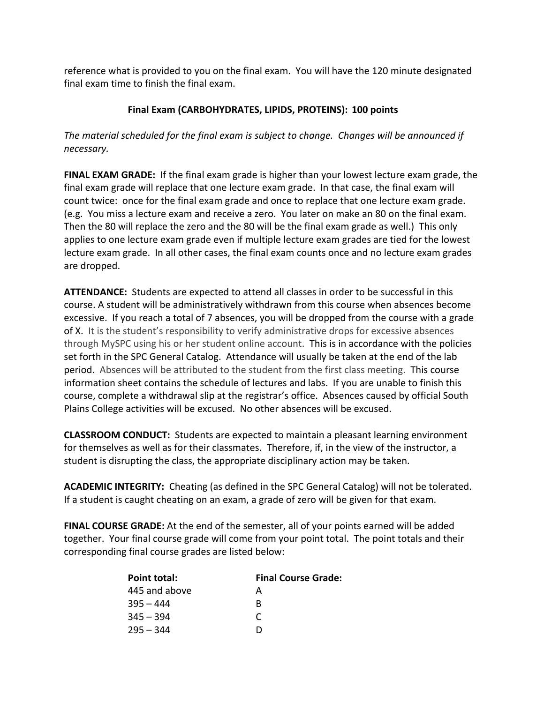reference what is provided to you on the final exam. You will have the 120 minute designated final exam time to finish the final exam.

# **Final Exam (CARBOHYDRATES, LIPIDS, PROTEINS): 100 points**

*The material scheduled for the final exam is subject to change. Changes will be announced if necessary.*

**FINAL EXAM GRADE:** If the final exam grade is higher than your lowest lecture exam grade, the final exam grade will replace that one lecture exam grade. In that case, the final exam will count twice: once for the final exam grade and once to replace that one lecture exam grade. (e.g. You miss a lecture exam and receive a zero. You later on make an 80 on the final exam. Then the 80 will replace the zero and the 80 will be the final exam grade as well.) This only applies to one lecture exam grade even if multiple lecture exam grades are tied for the lowest lecture exam grade. In all other cases, the final exam counts once and no lecture exam grades are dropped.

**ATTENDANCE:** Students are expected to attend all classes in order to be successful in this course. A student will be administratively withdrawn from this course when absences become excessive. If you reach a total of 7 absences, you will be dropped from the course with a grade of X. It is the student's responsibility to verify administrative drops for excessive absences through MySPC using his or her student online account. This is in accordance with the policies set forth in the SPC General Catalog. Attendance will usually be taken at the end of the lab period. Absences will be attributed to the student from the first class meeting. This course information sheet contains the schedule of lectures and labs. If you are unable to finish this course, complete a withdrawal slip at the registrar's office. Absences caused by official South Plains College activities will be excused. No other absences will be excused.

**CLASSROOM CONDUCT:** Students are expected to maintain a pleasant learning environment for themselves as well as for their classmates. Therefore, if, in the view of the instructor, a student is disrupting the class, the appropriate disciplinary action may be taken.

**ACADEMIC INTEGRITY:** Cheating (as defined in the SPC General Catalog) will not be tolerated. If a student is caught cheating on an exam, a grade of zero will be given for that exam.

**FINAL COURSE GRADE:** At the end of the semester, all of your points earned will be added together. Your final course grade will come from your point total. The point totals and their corresponding final course grades are listed below:

| <b>Point total:</b> | <b>Final Course Grade:</b> |
|---------------------|----------------------------|
| 445 and above       | А                          |
| $395 - 444$         | в                          |
| $345 - 394$         | C                          |
| $295 - 344$         | ו ו                        |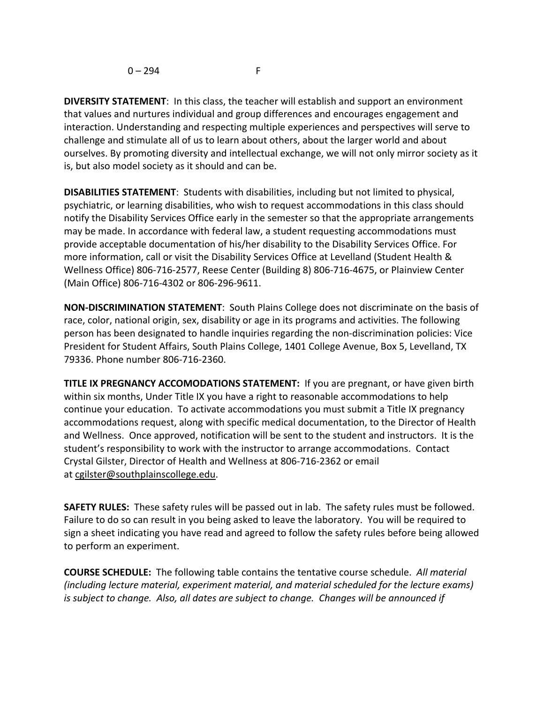$0 - 294$  F

**DIVERSITY STATEMENT**: In this class, the teacher will establish and support an environment that values and nurtures individual and group differences and encourages engagement and interaction. Understanding and respecting multiple experiences and perspectives will serve to challenge and stimulate all of us to learn about others, about the larger world and about ourselves. By promoting diversity and intellectual exchange, we will not only mirror society as it is, but also model society as it should and can be.

**DISABILITIES STATEMENT**: Students with disabilities, including but not limited to physical, psychiatric, or learning disabilities, who wish to request accommodations in this class should notify the Disability Services Office early in the semester so that the appropriate arrangements may be made. In accordance with federal law, a student requesting accommodations must provide acceptable documentation of his/her disability to the Disability Services Office. For more information, call or visit the Disability Services Office at Levelland (Student Health & Wellness Office) 806-716-2577, Reese Center (Building 8) 806-716-4675, or Plainview Center (Main Office) 806-716-4302 or 806-296-9611.

**NON-DISCRIMINATION STATEMENT**: South Plains College does not discriminate on the basis of race, color, national origin, sex, disability or age in its programs and activities. The following person has been designated to handle inquiries regarding the non-discrimination policies: Vice President for Student Affairs, South Plains College, 1401 College Avenue, Box 5, Levelland, TX 79336. Phone number 806-716-2360.

**TITLE IX PREGNANCY ACCOMODATIONS STATEMENT:** If you are pregnant, or have given birth within six months, Under Title IX you have a right to reasonable accommodations to help continue your education. To activate accommodations you must submit a Title IX pregnancy accommodations request, along with specific medical documentation, to the Director of Health and Wellness. Once approved, notification will be sent to the student and instructors. It is the student's responsibility to work with the instructor to arrange accommodations. Contact Crystal Gilster, Director of Health and Wellness at 806-716-2362 or email at cgilster@southplainscollege.edu.

**SAFETY RULES:** These safety rules will be passed out in lab. The safety rules must be followed. Failure to do so can result in you being asked to leave the laboratory. You will be required to sign a sheet indicating you have read and agreed to follow the safety rules before being allowed to perform an experiment.

**COURSE SCHEDULE:** The following table contains the tentative course schedule. *All material (including lecture material, experiment material, and material scheduled for the lecture exams) is subject to change. Also, all dates are subject to change. Changes will be announced if*